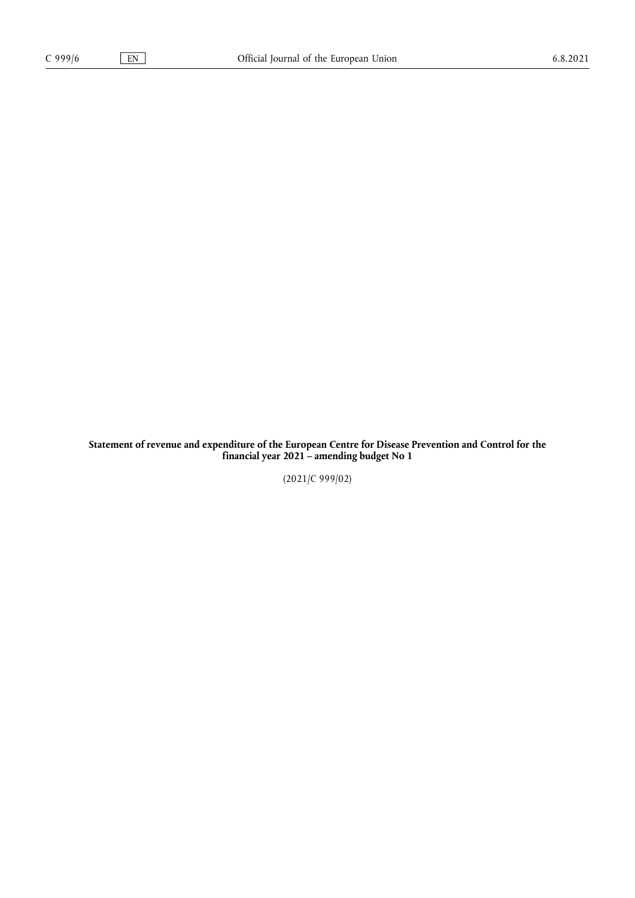**Statement of revenue and expenditure of the European Centre for Disease Prevention and Control for the financial year 2021 – amending budget No 1**

(2021/C 999/02)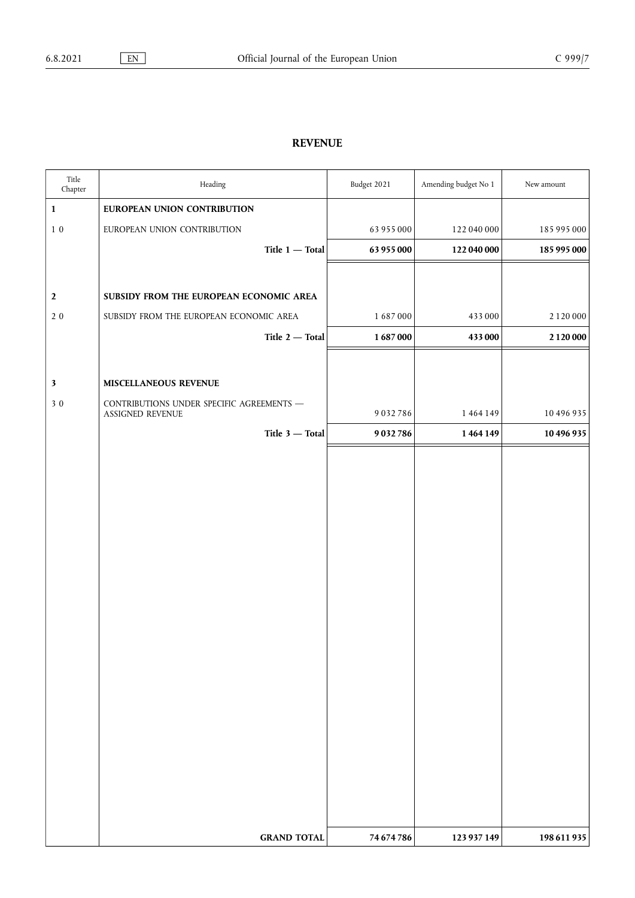## **REVENUE**

| Title<br>Chapter | Heading                                                       | Budget 2021 | Amending budget No 1 | New amount    |
|------------------|---------------------------------------------------------------|-------------|----------------------|---------------|
| $\mathbf 1$      | EUROPEAN UNION CONTRIBUTION                                   |             |                      |               |
| $1\,$ $0\,$      | EUROPEAN UNION CONTRIBUTION                                   | 63 955 000  | 122 040 000          | 185 995 000   |
|                  | Title $1$ - Total                                             | 63 955 000  | 122 040 000          | 185 995 000   |
|                  |                                                               |             |                      |               |
| $\boldsymbol{2}$ | SUBSIDY FROM THE EUROPEAN ECONOMIC AREA                       |             |                      |               |
| $2\,0$           | SUBSIDY FROM THE EUROPEAN ECONOMIC AREA                       | 1687000     | 433000               | 2 1 2 0 0 0 0 |
|                  | Title 2 - Total                                               | 1687000     | 433 000              | 2 1 2 0 0 0 0 |
|                  |                                                               |             |                      |               |
| $\mathbf{3}$     | MISCELLANEOUS REVENUE                                         |             |                      |               |
| 30               | CONTRIBUTIONS UNDER SPECIFIC AGREEMENTS -<br>ASSIGNED REVENUE | 9032786     | 1464149              | 10 496 935    |
|                  | Title 3 - Total                                               | 9032786     | 1464149              | 10 496 935    |
|                  |                                                               |             |                      |               |
|                  |                                                               |             |                      |               |
|                  |                                                               |             |                      |               |
|                  |                                                               |             |                      |               |
|                  |                                                               |             |                      |               |
|                  |                                                               |             |                      |               |
|                  |                                                               |             |                      |               |
|                  |                                                               |             |                      |               |
|                  |                                                               |             |                      |               |
|                  |                                                               |             |                      |               |
|                  |                                                               |             |                      |               |
|                  |                                                               |             |                      |               |
|                  |                                                               |             |                      |               |
|                  |                                                               |             |                      |               |
|                  |                                                               |             |                      |               |
|                  |                                                               |             |                      |               |
|                  |                                                               |             |                      |               |
|                  |                                                               |             |                      |               |
|                  |                                                               |             |                      |               |
|                  | <b>GRAND TOTAL</b>                                            | 74 674 786  | 123 937 149          | 198 611 935   |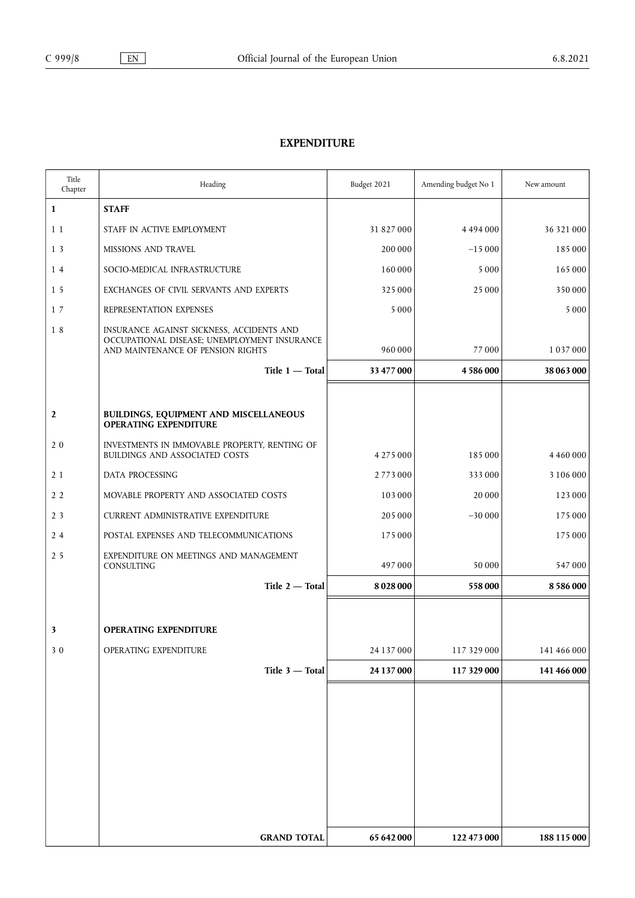## **EXPENDITURE**

| Title<br>Chapter | Heading                                                                                                                        | Budget 2021 | Amending budget No 1 | New amount    |
|------------------|--------------------------------------------------------------------------------------------------------------------------------|-------------|----------------------|---------------|
| $\mathbf 1$      | <b>STAFF</b>                                                                                                                   |             |                      |               |
| 1 1              | STAFF IN ACTIVE EMPLOYMENT                                                                                                     | 31 827 000  | 4494000              | 36 321 000    |
| 1 <sub>3</sub>   | <b>MISSIONS AND TRAVEL</b>                                                                                                     | 200 000     | $-15000$             | 185000        |
| 14               | SOCIO-MEDICAL INFRASTRUCTURE                                                                                                   | 160000      | 5 0 0 0              | 165 000       |
| 15               | EXCHANGES OF CIVIL SERVANTS AND EXPERTS                                                                                        | 325 000     | 25 000               | 350 000       |
| 17               | REPRESENTATION EXPENSES                                                                                                        | 5 0 0 0     |                      | 5 0 0 0       |
| 18               | INSURANCE AGAINST SICKNESS, ACCIDENTS AND<br>OCCUPATIONAL DISEASE; UNEMPLOYMENT INSURANCE<br>AND MAINTENANCE OF PENSION RIGHTS | 960 000     | 77000                | 1 0 3 7 0 0 0 |
|                  | Title $1 -$ Total                                                                                                              | 33 477 000  | 4586000              | 38 063 000    |
|                  |                                                                                                                                |             |                      |               |
| $\overline{2}$   | BUILDINGS, EQUIPMENT AND MISCELLANEOUS<br><b>OPERATING EXPENDITURE</b>                                                         |             |                      |               |
| 20               | INVESTMENTS IN IMMOVABLE PROPERTY, RENTING OF<br>BUILDINGS AND ASSOCIATED COSTS                                                | 4 275 000   | 185 000              | 4 4 6 0 0 0 0 |
| 2 1              | DATA PROCESSING                                                                                                                | 2773000     | 333 000              | 3 106 000     |
| 2 <sub>2</sub>   | MOVABLE PROPERTY AND ASSOCIATED COSTS                                                                                          | 103000      | 20 000               | 123 000       |
| 2 <sub>3</sub>   | <b>CURRENT ADMINISTRATIVE EXPENDITURE</b>                                                                                      | 205 000     | $-30000$             | 175 000       |
| 24               | POSTAL EXPENSES AND TELECOMMUNICATIONS                                                                                         | 175 000     |                      | 175 000       |
| 2 <sub>5</sub>   | EXPENDITURE ON MEETINGS AND MANAGEMENT<br>CONSULTING                                                                           | 497000      | 50 000               | 547000        |
|                  | Title 2 - Total                                                                                                                | 8028000     | 558000               | 8586000       |
|                  |                                                                                                                                |             |                      |               |
| 3                | <b>OPERATING EXPENDITURE</b>                                                                                                   |             |                      |               |
| 30               | OPERATING EXPENDITURE                                                                                                          | 24 137 000  | 117 329 000          | 141 466 000   |
|                  | Title 3 - Total                                                                                                                | 24 137 000  | 117 329 000          | 141 466 000   |
|                  |                                                                                                                                |             |                      |               |
|                  |                                                                                                                                |             |                      |               |
|                  |                                                                                                                                |             |                      |               |
|                  |                                                                                                                                |             |                      |               |
|                  |                                                                                                                                |             |                      |               |
|                  |                                                                                                                                |             |                      |               |
|                  |                                                                                                                                |             |                      |               |
|                  | <b>GRAND TOTAL</b>                                                                                                             | 65 642 000  | 122 473 000          | 188 115 000   |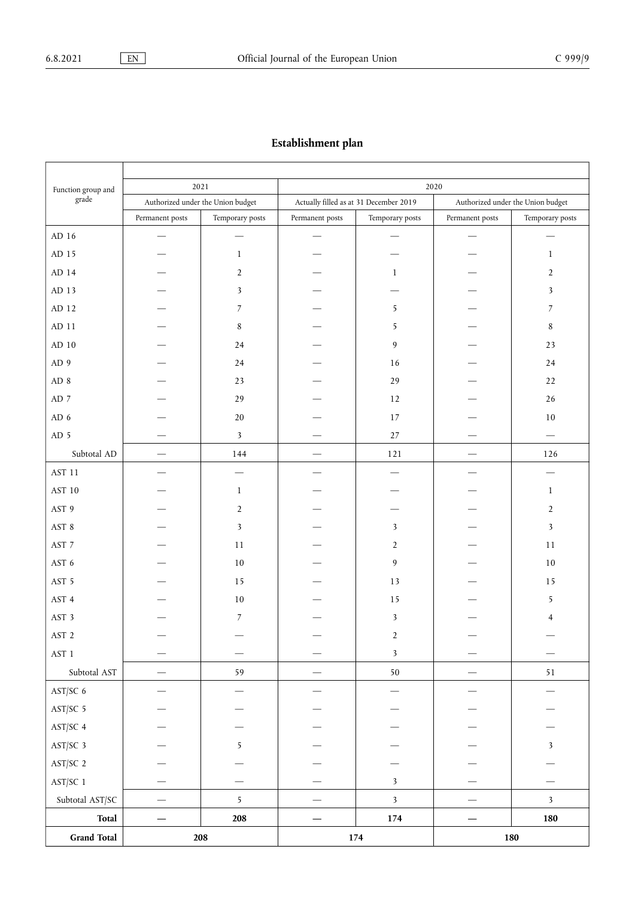## **Establishment plan**

| Function group and<br>grade | 2021<br>Authorized under the Union budget |                 | 2020<br>Actually filled as at 31 December 2019<br>Authorized under the Union budget |                         |                 |                                 |
|-----------------------------|-------------------------------------------|-----------------|-------------------------------------------------------------------------------------|-------------------------|-----------------|---------------------------------|
|                             |                                           |                 |                                                                                     |                         |                 |                                 |
|                             | Permanent posts                           | Temporary posts | Permanent posts                                                                     | Temporary posts         | Permanent posts | Temporary posts                 |
| AD 16 $\,$                  |                                           |                 | $\hspace{0.1mm}-\hspace{0.1mm}$                                                     |                         |                 |                                 |
| AD 15                       |                                           | $\mathbf{1}$    |                                                                                     |                         |                 | $\mathbf{1}$                    |
| AD 14                       |                                           | $\overline{2}$  |                                                                                     | $\mathbf{1}$            |                 | $\overline{2}$                  |
| AD 13                       |                                           | 3               |                                                                                     |                         |                 | 3                               |
| AD 12                       |                                           | 7               |                                                                                     | 5                       |                 | 7                               |
| ${\rm AD}$ 11               |                                           | 8               |                                                                                     | 5                       |                 | $\,8$                           |
| ${\rm AD}$ 10               |                                           | 24              |                                                                                     | 9                       |                 | 23                              |
| AD 9                        |                                           | 24              |                                                                                     | 16                      |                 | 24                              |
| AD 8                        |                                           | 23              |                                                                                     | 29                      |                 | 22                              |
| AD $\,$ 7 $\,$              |                                           | 29              |                                                                                     | 12                      |                 | 26                              |
| AD 6                        |                                           | $20\,$          |                                                                                     | $17\,$                  |                 | 10                              |
| AD 5                        |                                           | $\mathbf{3}$    |                                                                                     | $27\,$                  |                 | $\hspace{0.1mm}-\hspace{0.1mm}$ |
| Subtotal AD                 | $\overline{\phantom{m}}$                  | 144             | $\qquad \qquad -$                                                                   | 121                     |                 | 126                             |
| $\operatorname{AST}$ 11     |                                           |                 |                                                                                     |                         |                 | $\overline{\phantom{a}}$        |
| $\operatorname{AST}$ 10     |                                           | $\mathbf{1}$    |                                                                                     |                         |                 | $\mathbf{1}$                    |
| AST 9                       |                                           | $\overline{2}$  |                                                                                     |                         |                 | $\overline{2}$                  |
| AST 8                       |                                           | 3               |                                                                                     | 3                       |                 | 3                               |
| AST 7                       |                                           | 11              |                                                                                     | $\overline{2}$          |                 | 11                              |
| AST 6                       |                                           | $10\,$          |                                                                                     | 9                       |                 | 10                              |
| AST 5                       |                                           | 15              |                                                                                     | 13                      |                 | 15                              |
| AST 4                       |                                           | $10\,$          |                                                                                     | 15                      |                 | 5                               |
| AST 3                       |                                           | 7               |                                                                                     | $\mathbf{3}$            |                 | 4                               |
| AST <sub>2</sub>            |                                           |                 |                                                                                     | $\sqrt{2}$              |                 |                                 |
| AST 1                       |                                           |                 | $\qquad \qquad \longleftarrow$                                                      | $\overline{\mathbf{3}}$ |                 | $\overline{\phantom{m}}$        |
| Subtotal AST                |                                           | 59              | $\hspace{0.1mm}-\hspace{0.1mm}$                                                     | $50\,$                  | --              | 51                              |
| AST/SC 6                    |                                           |                 |                                                                                     |                         |                 |                                 |
| AST/SC 5                    |                                           |                 |                                                                                     |                         |                 |                                 |
| AST/SC 4                    |                                           |                 |                                                                                     |                         |                 |                                 |
| AST/SC 3                    |                                           | 5               |                                                                                     |                         |                 | $\mathbf{3}$                    |
| AST/SC 2                    |                                           |                 |                                                                                     |                         |                 |                                 |
| AST/SC 1                    |                                           |                 |                                                                                     | $\mathbf{3}$            |                 |                                 |
| Subtotal AST/SC             |                                           | 5               |                                                                                     | $\overline{\mathbf{3}}$ |                 | $\overline{\mathbf{3}}$         |
| <b>Total</b>                | $\hspace{0.05cm}$                         | ${\bf 208}$     |                                                                                     | $174\,$                 |                 | 180                             |
| <b>Grand Total</b>          |                                           | 208             |                                                                                     | 174                     |                 | 180                             |